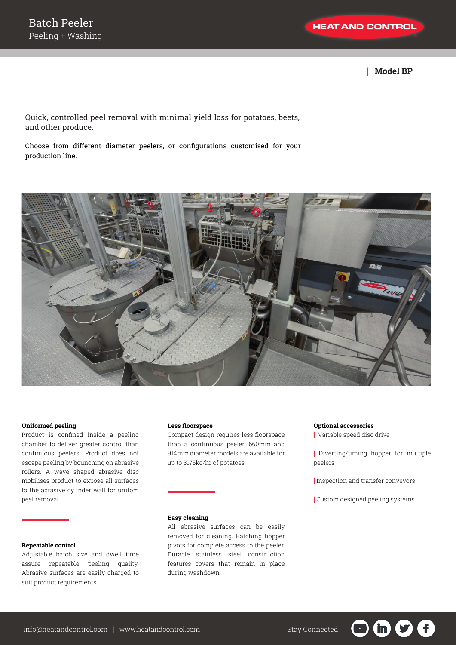| **Model BP**

Quick, controlled peel removal with minimal yield loss for potatoes, beets, and other produce.

Choose from different diameter peelers, or configurations customised for your production line.



#### **Uniformed peeling**

Product is confined inside a peeling chamber to deliver greater control than continuous peelers. Product does not escape peeling by bounching on abrasive rollers. A wave shaped abrasive disc mobilises product to expose all surfaces to the abrasive cylinder wall for unifom peel removal.

### **Repeatable control**

Adjustable batch size and dwell time assure repeatable peeling quality. Abrasive surfaces are easily charged to suit product requirements.

#### **Less floorspace**

Compact design requires less floorspace than a continuous peeler. 660mm and 914mm diameter models are available for up to 3175kg/hr of potatoes.

## **Easy cleaning**

All abrasive surfaces can be easily removed for cleaning. Batching hopper pivots for complete access to the peeler. Durable stainless steel construction features covers that remain in place during washdown.

#### **Optional accessories**

| Variable speed disc drive

| Diverting/timing hopper for multiple peelers

| Inspection and transfer conveyors

| Custom designed peeling systems

in i